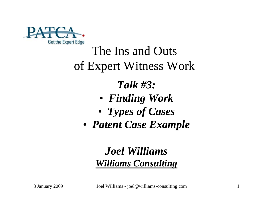

#### The Ins and Outs of Expert Witness Work

#### *Talk #3:*

- *Finding Work*
- *Types of Cases*
- *Patent Case Example*

#### *Joel Williams Williams Consulting*

8 January 2009 Joel Williams - joel@williams-consulting.com 1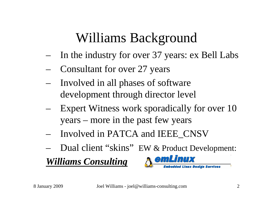## Williams Background

- In the industry for over 37 years: ex Bell Labs
- Consultant for over 27 years
- Involved in all phases of software development through director level
- Expert Witness work sporadically for over 10 years – more in the past few years
- Involved in PATCA and IEEE\_CNSV
- Dual client "skins" EW & Product Development:

*Williams Consulting*

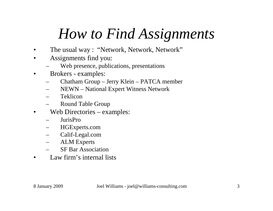## *How to Find Assignments*

- The usual way : "Network, Network, Network"
- Assignments find you:
	- Web presence, publications, presentations
- Brokers examples:
	- Chatham Group Jerry Klein PATCA member
	- NEWN National Expert Witness Network
	- Teklicon
	- Round Table Group
- Web Directories examples:
	- JurisPro
	- HGExperts.com
	- Calif-Legal.com
	- ALM Experts
	- SF Bar Association
- Law firm's internal lists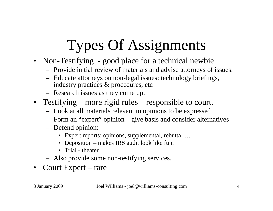# Types Of Assignments

- Non-Testifying good place for a technical newbie
	- Provide initial review of materials and advise attorneys of issues.
	- Educate attorneys on non-legal issues: technology briefings, industry practices & procedures, etc
	- Research issues as they come up.
- Testifying more rigid rules responsible to court.
	- Look at all materials relevant to opinions to be expressed
	- Form an "expert" opinion give basis and consider alternatives
	- Defend opinion:
		- Expert reports: opinions, supplemental, rebuttal …
		- Deposition makes IRS audit look like fun.
		- Trial theater
	- Also provide some non-testifying services.
- Court Expert rare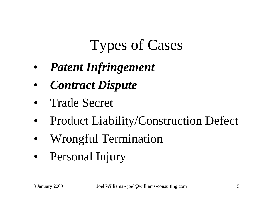## Types of Cases

- *Patent Infringement*
- *Contract Dispute*
- Trade Secret
- Product Liability/Construction Defect
- Wrongful Termination
- Personal Injury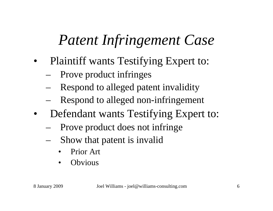## *Patent Infringement Case*

- Plaintiff wants Testifying Expert to:
	- Prove product infringes
	- Respond to alleged patent invalidity
	- Respond to alleged non-infringement
- Defendant wants Testifying Expert to:
	- Prove product does not infringe
	- Show that patent is invalid
		- Prior Art
		- **Obvious**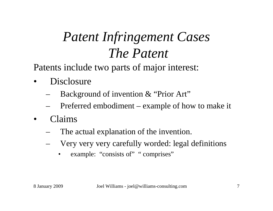## *Patent Infringement Cases The Patent*

Patents include two parts of major interest:

- Disclosure
	- Background of invention & "Prior Art"
	- Preferred embodiment example of how to make it
- Claims
	- The actual explanation of the invention.
	- Very very very carefully worded: legal definitions
		- example: "consists of" " comprises"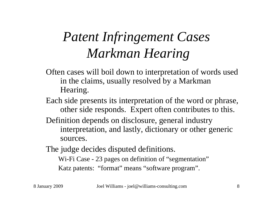## *Patent Infringement Cases Markman Hearing*

- Often cases will boil down to interpretation of words used in the claims, usually resolved by a Markman Hearing.
- Each side presents its interpretation of the word or phrase, other side responds. Expert often contributes to this.
- Definition depends on disclosure, general industry interpretation, and lastly, dictionary or other generic sources.

The judge decides disputed definitions. Wi-Fi Case - 23 pages on definition of "segmentation" Katz patents: "format" means "software program".